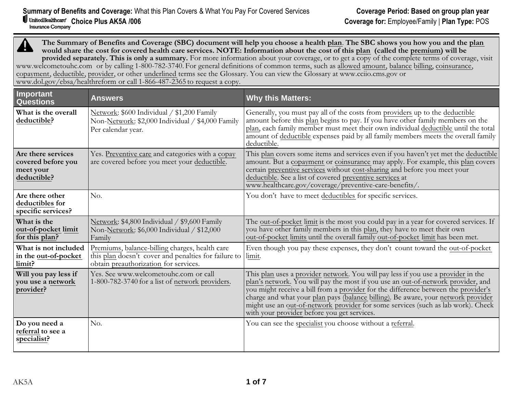The Summary of Benefits and Coverage (SBC) document will help you choose a health <u>plan</u>. The SBC shows you how you and the <u>plan</u> would share the cost for covered health care services. NOTE: Information about the cost of this <u>plan</u> (called the <u>premium</u>) will be **provided separately. This is only <sup>a</sup> summary.** For more information about your coverage, or to ge<sup>t</sup> <sup>a</sup> copy of the complete terms of coverage, visit www.welcometouhc.com or by calling 1-800-782-3740. For general definitions of common terms, such as <u>allowed amount</u>, <u>balance billing, coinsurance</u>, copayment, deductible, provider, or other underlined terms see the Glossary. You can view the Glossary at www.cciio.cms.gov or www.dol.gov/ebsa/healthreform or call 1-866-487-2365 to request <sup>a</sup> copy.

| <b>Important</b><br><b>Questions</b>                                 | <b>Answers</b>                                                                                                                                  | <b>Why this Matters:</b>                                                                                                                                                                                                                                                                                                                                                                                                                                                            |
|----------------------------------------------------------------------|-------------------------------------------------------------------------------------------------------------------------------------------------|-------------------------------------------------------------------------------------------------------------------------------------------------------------------------------------------------------------------------------------------------------------------------------------------------------------------------------------------------------------------------------------------------------------------------------------------------------------------------------------|
| What is the overall<br>deductible?                                   | Network: \$600 Individual / \$1,200 Family<br>Non-Network: \$2,000 Individual / \$4,000 Family<br>Per calendar year.                            | Generally, you must pay all of the costs from providers up to the deductible<br>amount before this plan begins to pay. If you have other family members on the<br>plan, each family member must meet their own individual deductible until the total<br>amount of deductible expenses paid by all family members meets the overall family<br>deductible.                                                                                                                            |
| Are there services<br>covered before you<br>meet your<br>deductible? | Yes. Preventive care and categories with a copay<br>are covered before you meet your deductible.                                                | This plan covers some items and services even if you haven't yet met the deductible<br>amount. But a copayment or coinsurance may apply. For example, this plan covers<br>certain preventive services without cost-sharing and before you meet your<br>deductible. See a list of covered preventive services at<br>www.healthcare.gov/coverage/preventive-care-benefits/.                                                                                                           |
| Are there other<br>deductibles for<br>specific services?             | No.                                                                                                                                             | You don't have to meet deductibles for specific services.                                                                                                                                                                                                                                                                                                                                                                                                                           |
| What is the<br>out-of-pocket limit<br>for this plan?                 | Network: \$4,800 Individual / \$9,600 Family<br>Non-Network: \$6,000 Individual / \$12,000<br>Family                                            | The out-of-pocket limit is the most you could pay in a year for covered services. If<br>you have other family members in this plan, they have to meet their own<br>out-of-pocket limits until the overall family out-of-pocket limit has been met.                                                                                                                                                                                                                                  |
| What is not included<br>in the out-of-pocket<br>limit?               | Premiums, balance-billing charges, health care<br>this plan doesn't cover and penalties for failure to<br>obtain preauthorization for services. | Even though you pay these expenses, they don't count toward the out-of-pocket<br>limit.                                                                                                                                                                                                                                                                                                                                                                                             |
| Will you pay less if<br>you use a network<br>provider?               | Yes. See www.welcometouhc.com or call<br>1-800-782-3740 for a list of network providers.                                                        | This plan uses a provider network. You will pay less if you use a provider in the<br>plan's network. You will pay the most if you use an out-of-network provider, and<br>you might receive a bill from a provider for the difference between the provider's<br>charge and what your plan pays (balance billing). Be aware, your network provider<br>might use an out-of-network provider for some services (such as lab work). Check<br>with your provider before you get services. |
| Do you need a<br>referral to see a<br>specialist?                    | No.                                                                                                                                             | You can see the specialist you choose without a referral.                                                                                                                                                                                                                                                                                                                                                                                                                           |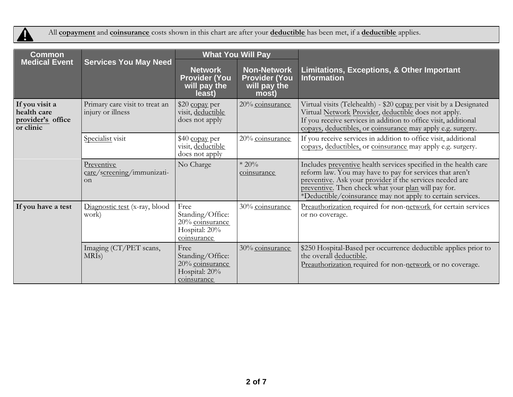All **copayment** and **coinsurance** costs shown in this chart are after your **deductible** has been met, if <sup>a</sup> **deductible** applies.

<u>A</u>

| <b>Common</b>                                                   | <b>Services You May Need</b><br><b>Medical Event</b> |                                                                             | <b>What You Will Pay</b>                                            |                                                                                                                                                                                                                                                                                                               |  |
|-----------------------------------------------------------------|------------------------------------------------------|-----------------------------------------------------------------------------|---------------------------------------------------------------------|---------------------------------------------------------------------------------------------------------------------------------------------------------------------------------------------------------------------------------------------------------------------------------------------------------------|--|
|                                                                 |                                                      |                                                                             | <b>Non-Network</b><br><b>Provider (You</b><br>will pay the<br>most) | Limitations, Exceptions, & Other Important<br><b>Information</b>                                                                                                                                                                                                                                              |  |
| If you visit a<br>health care<br>provider's office<br>or clinic | Primary care visit to treat an<br>injury or illness  | \$20 copay per<br>visit, deductible<br>does not apply                       | 20% coinsurance                                                     | Virtual visits (Telehealth) - \$20 copay per visit by a Designated<br>Virtual Network Provider, deductible does not apply.<br>If you receive services in addition to office visit, additional<br>copays, deductibles, or coinsurance may apply e.g. surgery.                                                  |  |
|                                                                 | Specialist visit                                     | \$40 copay per<br>visit, deductible<br>does not apply                       | 20% coinsurance                                                     | If you receive services in addition to office visit, additional<br>copays, deductibles, or coinsurance may apply e.g. surgery.                                                                                                                                                                                |  |
|                                                                 | Preventive<br>care/screening/immunizati-<br>on       | No Charge                                                                   | $*20%$<br>coinsurance                                               | Includes preventive health services specified in the health care<br>reform law. You may have to pay for services that aren't<br>preventive. Ask your provider if the services needed are<br>preventive. Then check what your plan will pay for.<br>*Deductible/coinsurance may not apply to certain services. |  |
| If you have a test                                              | Diagnostic test (x-ray, blood<br>work)               | Free<br>Standing/Office:<br>20% coinsurance<br>Hospital: 20%<br>coinsurance | 30% coinsurance                                                     | Preauthorization required for non-network for certain services<br>or no coverage.                                                                                                                                                                                                                             |  |
|                                                                 | Imaging (CT/PET scans,<br>MRI <sub>s</sub> )         | Free<br>Standing/Office:<br>20% coinsurance<br>Hospital: 20%<br>coinsurance | 30% coinsurance                                                     | \$250 Hospital-Based per occurrence deductible applies prior to<br>the overall deductible.<br>Preauthorization required for non-network or no coverage.                                                                                                                                                       |  |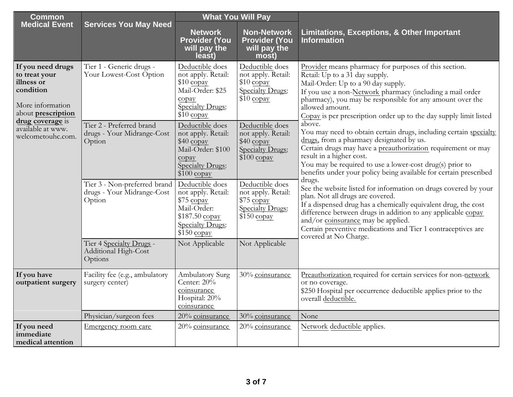| <b>Common</b>                                                                                           |                                                                      | <b>What You Will Pay</b>                                                                                                         |                                                                                                |                                                                                                                                                                                                                                                                                                                                                                                |  |
|---------------------------------------------------------------------------------------------------------|----------------------------------------------------------------------|----------------------------------------------------------------------------------------------------------------------------------|------------------------------------------------------------------------------------------------|--------------------------------------------------------------------------------------------------------------------------------------------------------------------------------------------------------------------------------------------------------------------------------------------------------------------------------------------------------------------------------|--|
| <b>Medical Event</b>                                                                                    | <b>Services You May Need</b>                                         | <b>Network</b><br><b>Provider (You</b><br>will pay the<br>least)                                                                 | <b>Non-Network</b><br><b>Provider (You</b><br>will pay the<br>most)                            | Limitations, Exceptions, & Other Important<br>Information                                                                                                                                                                                                                                                                                                                      |  |
| If you need drugs<br>to treat your<br>illness or<br>condition<br>More information<br>about prescription | Tier 1 - Generic drugs -<br>Your Lowest-Cost Option                  | Deductible does<br>not apply. Retail:<br>\$10 copay<br>Mail-Order: \$25<br>copay<br><b>Specialty Drugs:</b><br>$$10$ copay       | Deductible does<br>not apply. Retail:<br>\$10 copay<br><b>Specialty Drugs:</b><br>$$10$ copay  | Provider means pharmacy for purposes of this section.<br>Retail: Up to a 31 day supply.<br>Mail-Order: Up to a 90 day supply.<br>If you use a non-Network pharmacy (including a mail order<br>pharmacy), you may be responsible for any amount over the<br>allowed amount.<br>Copay is per prescription order up to the day supply limit listed                                |  |
| drug coverage is<br>available at www.<br>welcometouhc.com.                                              | Tier 2 - Preferred brand<br>drugs - Your Midrange-Cost<br>Option     | Deductible does<br>not apply. Retail:<br>$$40$ copay<br>Mail-Order: \$100<br>copay<br><b>Specialty Drugs:</b><br>$$100$ copay    | Deductible does<br>not apply. Retail:<br>\$40 copay<br><b>Specialty Drugs:</b><br>$$100$ copay | above.<br>You may need to obtain certain drugs, including certain specialty<br>drugs, from a pharmacy designated by us.<br>Certain drugs may have a preauthorization requirement or may<br>result in a higher cost.<br>You may be required to use a lower-cost drug(s) prior to<br>benefits under your policy being available for certain prescribed                           |  |
|                                                                                                         | Tier 3 - Non-preferred brand<br>drugs - Your Midrange-Cost<br>Option | Deductible does<br>not apply. Retail:<br>\$75 copay<br>Mail-Order:<br>$$187.50$ copay<br><b>Specialty Drugs:</b><br>$$150$ copay | Deductible does<br>not apply. Retail:<br>\$75 copay<br><b>Specialty Drugs:</b><br>$$150$ copay | drugs.<br>See the website listed for information on drugs covered by your<br>plan. Not all drugs are covered.<br>If a dispensed drug has a chemically equivalent drug, the cost<br>difference between drugs in addition to any applicable copay<br>and/or coinsurance may be applied.<br>Certain preventive medications and Tier 1 contraceptives are<br>covered at No Charge. |  |
|                                                                                                         | Tier 4 Specialty Drugs -<br>Additional High-Cost<br>Options          | Not Applicable                                                                                                                   | Not Applicable                                                                                 |                                                                                                                                                                                                                                                                                                                                                                                |  |
| If you have<br>outpatient surgery                                                                       | Facility fee (e.g., ambulatory<br>surgery center)                    | <b>Ambulatory Surg</b><br>Center: $20\%$<br>coinsurance<br>Hospital: 20%<br>coinsurance                                          | 30% coinsurance                                                                                | Preauthorization required for certain services for non-network<br>or no coverage.<br>\$250 Hospital per occurrence deductible applies prior to the<br>overall deductible.                                                                                                                                                                                                      |  |
|                                                                                                         | Physician/surgeon fees                                               | 20% coinsurance                                                                                                                  | 30% coinsurance                                                                                | None                                                                                                                                                                                                                                                                                                                                                                           |  |
| If you need<br>immediate<br>medical attention                                                           | Emergency room care                                                  | 20% coinsurance                                                                                                                  | 20% coinsurance                                                                                | Network deductible applies.                                                                                                                                                                                                                                                                                                                                                    |  |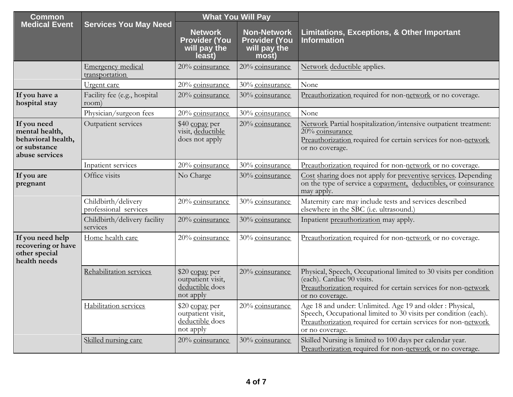| <b>Common</b>                                                                         |                                              | <b>What You Will Pay</b>                                             |                                                                     |                                                                                                                                                                                                                   |  |
|---------------------------------------------------------------------------------------|----------------------------------------------|----------------------------------------------------------------------|---------------------------------------------------------------------|-------------------------------------------------------------------------------------------------------------------------------------------------------------------------------------------------------------------|--|
| <b>Medical Event</b>                                                                  | <b>Services You May Need</b>                 | <b>Network</b><br><b>Provider (You</b><br>will pay the<br>least)     | <b>Non-Network</b><br><b>Provider (You</b><br>will pay the<br>most) | Limitations, Exceptions, & Other Important<br><b>Information</b>                                                                                                                                                  |  |
|                                                                                       | <b>Emergency medical</b><br>transportation   | 20% coinsurance                                                      | 20% coinsurance                                                     | Network deductible applies.                                                                                                                                                                                       |  |
|                                                                                       | Urgent care                                  | 20% coinsurance                                                      | 30% coinsurance                                                     | None                                                                                                                                                                                                              |  |
| If you have a<br>hospital stay                                                        | Facility fee (e.g., hospital<br>room)        | 20% coinsurance                                                      | 30% coinsurance                                                     | Preauthorization required for non-network or no coverage.                                                                                                                                                         |  |
|                                                                                       | Physician/surgeon fees                       | 20% coinsurance                                                      | 30% coinsurance                                                     | None                                                                                                                                                                                                              |  |
| If you need<br>mental health,<br>behavioral health,<br>or substance<br>abuse services | Outpatient services                          | \$40 copay per<br>visit, deductible<br>does not apply                | 20% coinsurance                                                     | Network Partial hospitalization/intensive outpatient treatment:<br>20% coinsurance<br>Preauthorization required for certain services for non-network<br>or no coverage.                                           |  |
|                                                                                       | Inpatient services                           | 20% coinsurance                                                      | 30% coinsurance                                                     | Preauthorization required for non-network or no coverage.                                                                                                                                                         |  |
| If you are<br>pregnant                                                                | Office visits                                | No Charge                                                            | 30% coinsurance                                                     | Cost sharing does not apply for preventive services. Depending<br>on the type of service a copayment, deductibles, or coinsurance<br>may apply.                                                                   |  |
|                                                                                       | Childbirth/delivery<br>professional services | 20% coinsurance                                                      | 30% coinsurance                                                     | Maternity care may include tests and services described<br>elsewhere in the SBC (i.e. ultrasound.)                                                                                                                |  |
|                                                                                       | Childbirth/delivery facility<br>services     | 20% coinsurance                                                      | 30% coinsurance                                                     | Inpatient preauthorization may apply.                                                                                                                                                                             |  |
| If you need help<br>recovering or have<br>other special<br>health needs               | Home health care                             | 20% coinsurance                                                      | 30% coinsurance                                                     | Preauthorization required for non-network or no coverage.                                                                                                                                                         |  |
|                                                                                       | Rehabilitation services                      | \$20 copay per<br>outpatient visit,<br>deductible does<br>not apply  | 20% coinsurance                                                     | Physical, Speech, Occupational limited to 30 visits per condition<br>(each). Cardiac 90 visits.<br>Preauthorization required for certain services for non-network<br>or no coverage.                              |  |
|                                                                                       | Habilitation services                        | $$20$ copay per<br>outpatient visit,<br>deductible does<br>not apply | 20% coinsurance                                                     | Age 18 and under: Unlimited. Age 19 and older : Physical,<br>Speech, Occupational limited to 30 visits per condition (each).<br>Preauthorization required for certain services for non-network<br>or no coverage. |  |
|                                                                                       | Skilled nursing care                         | 20% coinsurance                                                      | 30% coinsurance                                                     | Skilled Nursing is limited to 100 days per calendar year.<br>Preauthorization required for non-network or no coverage.                                                                                            |  |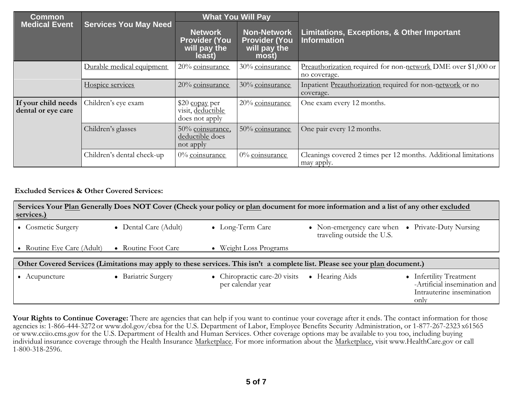| <b>Common</b>                             |                              | <b>What You Will Pay</b>                                         |                                                              |                                                                               |  |
|-------------------------------------------|------------------------------|------------------------------------------------------------------|--------------------------------------------------------------|-------------------------------------------------------------------------------|--|
| <b>Medical Event</b>                      | <b>Services You May Need</b> | <b>Network</b><br><b>Provider (You</b><br>will pay the<br>least) | Non-Network<br><b>Provider (You</b><br>will pay the<br>most) | Limitations, Exceptions, & Other Important<br><b>Information</b>              |  |
|                                           | Durable medical equipment    | 20% coinsurance                                                  | 30% coinsurance                                              | Preauthorization required for non-network DME over \$1,000 or<br>no coverage. |  |
|                                           | Hospice services             | 20% coinsurance                                                  | 30% coinsurance                                              | Inpatient Preauthorization required for non-network or no<br>coverage.        |  |
| If your child needs<br>dental or eye care | Children's eye exam          | \$20 copay per<br>visit, deductible<br>does not apply            | 20% coinsurance                                              | One exam every 12 months.                                                     |  |
|                                           | Children's glasses           | 50% coinsurance,<br>deductible does<br>not apply                 | 50% coinsurance                                              | One pair every 12 months.                                                     |  |
|                                           | Children's dental check-up   | $0\%$ coinsurance                                                | 0% coinsurance                                               | Cleanings covered 2 times per 12 months. Additional limitations<br>may apply. |  |

# **Excluded Services & Other Covered Services:**

| services.)                                                                                                                   |                       | Services Your Plan Generally Does NOT Cover (Check your policy or plan document for more information and a list of any other excluded |                                                                                |                                                                                              |  |
|------------------------------------------------------------------------------------------------------------------------------|-----------------------|---------------------------------------------------------------------------------------------------------------------------------------|--------------------------------------------------------------------------------|----------------------------------------------------------------------------------------------|--|
| • Cosmetic Surgery                                                                                                           | • Dental Care (Adult) | • Long-Term Care                                                                                                                      | • Non-emergency care when • Private-Duty Nursing<br>traveling outside the U.S. |                                                                                              |  |
| • Routine Eye Care (Adult)                                                                                                   | • Routine Foot Care   | • Weight Loss Programs                                                                                                                |                                                                                |                                                                                              |  |
| Other Covered Services (Limitations may apply to these services. This isn't a complete list. Please see your plan document.) |                       |                                                                                                                                       |                                                                                |                                                                                              |  |
| • Acupuncture                                                                                                                | • Bariatric Surgery   | • Chiropractic care-20 visits<br>per calendar year                                                                                    | • Hearing Aids                                                                 | • Infertility Treatment<br>-Artificial insemination and<br>Intrauterine insemination<br>only |  |

**Your Rights to Continue Coverage:** There are agencies that can help if you want to continue your coverage after it ends. The contact information for those agencies is: 1-866-444-3272 or www.dol.gov/ebsa for the U.S. Department of Labor, Employee Benefits Security Administration, or 1-877-267-2323 x61565 or www.cciio.cms.gov for the U.S. Department of Health and Human Services. Other coverage options may be available to you too, including buying individual insurance coverage through the Health Insurance <u>Marketplace</u>. For more information about the <u>Marketplace</u>, visit www.HealthCare.gov or call 1-800-318-2596.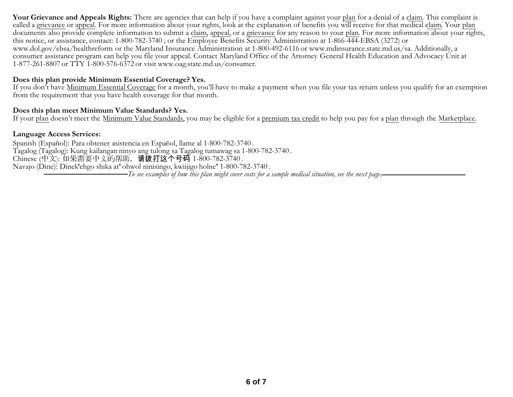**Your Grievance and Appeals Rights:** There are agencies that can help if you have <sup>a</sup> complaint against your plan for <sup>a</sup> denial of <sup>a</sup> claim. This complaint is called a <u>grievance</u> or appeal. For more information about your rights, look at the explanation of benefits you will receive for that medical c<u>laim</u>. Your <u>plan</u> documents also provide complete information to submit a c<u>laim,</u> appeal, or a <u>grievance</u> for any reason to your <u>plan</u>. For more information about your rights, this notice, or assistance, contact: 1-800-782-3740 ; or the Employee Benefits Security Administration at 1-866-444-EBSA (3272) or www.dol.gov/ebsa/healthreform or the Maryland Insurance Administration at 1-800-492-6116 or www.mdinsurance.state.md.us/sa. Additionally, <sup>a</sup> consumer assistance program can help you file your appeal. Contact Maryland Office of the Attorney General Health Education and Advocacy Unit at 1-877-261-8807 or TTY 1-800-576-6372 or visit www.oag.state.md.us/consumer.

# **Does this plan provide Minimum Essential Coverage? Yes.**

If you don't have <u>Minimum Essential Coverage</u> for a month, you'll have to make a payment when you file your tax return unless you qualify for an exemption from the requirement that you have health coverage for that month.

# **Does this plan meet Minimum Value Standards? Yes.**

If your <u>plan</u> doesn't meet the <u>Minimum Value Standards</u>, you may be eligible for a <u>premium tax credit</u> to help you pay for a <u>plan</u> through the <u>Marketplace</u>.

## **Language Access Services:**

Spanish (Español): Para obtener asistencia en Español, llame al 1-800-782-3740. Tagalog (Tagalog): Kung kailangan ninyo ang tulong sa Tagalog tumawag sa 1-800-782-3740 . Chinese (中文): 如果需要中文的帮助,**请拨打这个号码** 1-800-782-3740 . Navajo (Dine): Dinek'ehgo shika at' ohwol ninisingo, kwiijigo holne' 1-800-782-3740. To see examples of how this plan might cover costs for a sample medical situation, see the next page.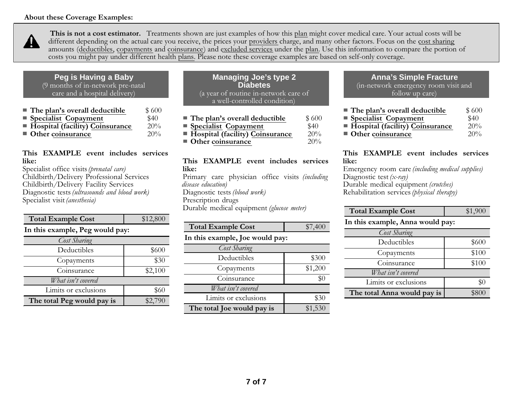

**This is not <sup>a</sup> cost estimator.** Treatments shown are just examples of how this plan might cover medical care. Your actual costs will be different depending on the actual care you receive, the prices your <u>providers</u> charge, and many other factors. Focus on the <u>cost sharing</u> amounts (deductibles, copayments and coinsurance) and e<u>xcluded services</u> under the <u>plan</u>. Use this information to compare the portion of costs you might pay under different health <u>plans</u>. Please note these coverage examples are based on self-only coverage.

**Peg is Having <sup>a</sup> Baby** (9 months of in-network pre-natal

care and <sup>a</sup> hospital delivery)

| $\blacksquare$ The plan's overall deductible | \$600 |
|----------------------------------------------|-------|
| Specialist Copayment                         | \$40  |
| ■ Hospital (facility) Coinsurance            | 20%   |
| $\blacksquare$ Other coinsurance             | 20%   |

#### **This EXAMPLE event includes services like:**

Specialist office visits*(prenatal care)* Childbirth/Delivery Professional Services Childbirth/Delivery Facility Services Diagnostic tests*(ultrasounds and blood work)* Specialist visit*(anesthesia)*

| <b>Total Example Cost</b>       | \$12,800 |  |  |  |
|---------------------------------|----------|--|--|--|
| In this example, Peg would pay: |          |  |  |  |
| Cost Sharing                    |          |  |  |  |
| Deductibles                     | \$600    |  |  |  |
| Copayments                      | \$30     |  |  |  |
| Coinsurance                     | \$2,100  |  |  |  |
| What isn't covered              |          |  |  |  |
| Limits or exclusions            | \$60     |  |  |  |
| The total Peg would pay is      | \$2,790  |  |  |  |

| <b>Managing Joe's type 2</b><br><b>Diabetes</b>                       |
|-----------------------------------------------------------------------|
| (a year of routine in-network care of<br>a well-controlled condition) |
|                                                                       |

| $\blacksquare$ The plan's overall deductible | \$600 |
|----------------------------------------------|-------|
| Specialist Copayment                         | \$40  |
| Hospital (facility) Coinsurance              | 20%   |

**Other coinsurance**

#### **This EXAMPLE event includes services like:**

20%

Primary care physician office visits *(including disease education)* Diagnostic tests*(blood work)* Prescription drugs Durable medical equipment *(glucose meter)*

| <b>Total Example Cost</b>       | \$7,400 |  |  |  |
|---------------------------------|---------|--|--|--|
| In this example, Joe would pay: |         |  |  |  |
| Cost Sharing                    |         |  |  |  |
| Deductibles                     | \$300   |  |  |  |
| Copayments                      | \$1,200 |  |  |  |
| Coinsurance                     | \$0     |  |  |  |
| What isn't covered              |         |  |  |  |
| Limits or exclusions            |         |  |  |  |

**The total Joe would pay is** \$1,530

#### **Anna's Simple Fracture** (in-network emergency room visit and follow up care)

| $\blacksquare$ The plan's overall deductible     | \$600 |
|--------------------------------------------------|-------|
| <b>Specialist Copayment</b>                      | \$40  |
| <b>Example 1</b> Hospital (facility) Coinsurance | 20%   |
| Other coinsurance                                | 20%   |

### **This EXAMPLE event includes services like:**

Emergency room care *(including medical supplies)* Diagnostic test *(x-ray)* Durable medical equipment *(crutches)*

Rehabilitation services*(physical therapy)*

**In this example, Anna would pay:**

| Cost Sharing                |       |
|-----------------------------|-------|
| Deductibles                 | \$600 |
| Copayments                  | \$100 |
| Coinsurance                 | \$100 |
| What isn't covered          |       |
| Limits or exclusions        | \$0   |
| The total Anna would pay is |       |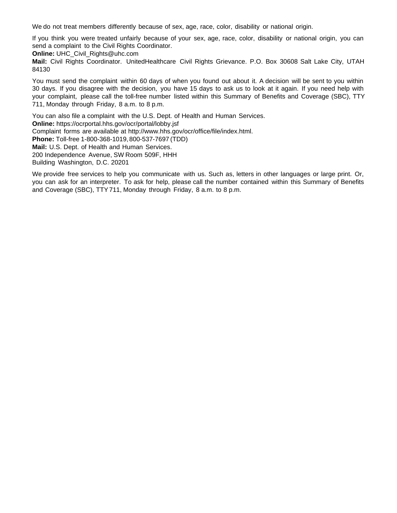We do not treat members differently because of sex, age, race, color, disability or national origin.

If you think you were treated unfairly because of your sex, age, race, color, disability or national origin, you can send a complaint to the Civil Rights Coordinator.

**Online:** UHC\_Civil\_Rights@uhc.com

**Mail:** Civil Rights Coordinator. UnitedHealthcare Civil Rights Grievance. P.O. Box 30608 Salt Lake City, UTAH 84130

You must send the complaint within 60 days of when you found out about it. A decision will be sent to you within 30 days. If you disagree with the decision, you have 15 days to ask us to look at it again. If you need help with your complaint, please call the toll-free number listed within this Summary of Benefits and Coverage (SBC), TTY 711, Monday through Friday, 8 a.m. to 8 p.m.

You can also file a complaint with the U.S. Dept. of Health and Human Services. **Online:** https://ocrportal.hhs.gov/ocr/portal/lobby.jsf Complaint forms are available at http://www.hhs.gov/ocr/office/file/index.html. **Phone:** Toll-free 1-800-368-1019, 800-537-7697 (TDD) **Mail:** U.S. Dept. of Health and Human Services. 200 Independence Avenue, SW Room 509F, HHH Building Washington, D.C. 20201

We provide free services to help you communicate with us. Such as, letters in other languages or large print. Or, you can ask for an interpreter. To ask for help, please call the number contained within this Summary of Benefits and Coverage (SBC), TTY711, Monday through Friday, 8 a.m. to 8 p.m.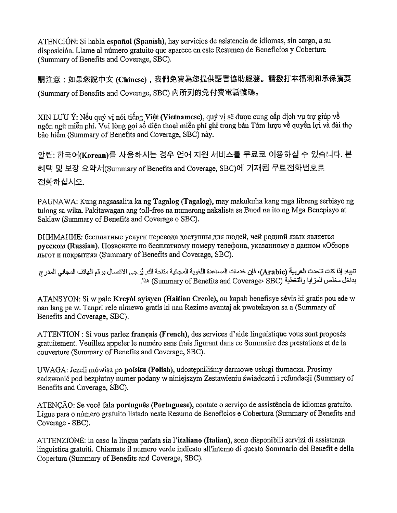ATENCIÓN: Si habla español (Spanish), hay servicios de asistencia de idiomas, sin cargo, a su disposición. Llame al número gratuito que aparece en este Resumen de Beneficios y Cobertura (Summary of Benefits and Coverage, SBC).

請注意:如果您說中文 (Chinese),我們免費為您提供語言協助服務。請撥打本福利和承保摘要 (Summary of Benefits and Coverage, SBC) 内所列的免付費電話號碼。

XIN LƯU Ý: Nếu quý vị nói tiếng Việt (Vietnamese), quý vị sẽ được cung cấp dịch vụ trợ giúp về ngôn ngữ miễn phí. Vui lòng gọi số điện thoại miễn phí ghi trong bản Tóm lược về quyền lợi và đài thọ bảo hiểm (Summary of Benefits and Coverage, SBC) này.

알림: 한국어(Korean)를 사용하시는 경우 언어 지원 서비스를 무료로 이용하실 수 있습니다. 본 혜택 및 보장 요약서(Summary of Benefits and Coverage, SBC)에 기재된 무료전화번호로 전화하십시오.

PAUNAWA: Kung nagsasalita ka ng Tagalog (Tagalog), may makukuha kang mga libreng serbisyo ng tulong sa wika. Pakitawagan ang toll-free na numerong nakalista sa Buod na ito ng Mga Benepisyo at Saklaw (Summary of Benefits and Coverage o SBC).

ВНИМАНИЕ: бесплатные услуги перевода доступны для людей, чей родной язык является русском (Russian). Позвоните по бесплатному номеру телефона, указанному в данном «Обзоре льгот и покрытия» (Summary of Benefits and Coverage, SBC).

تنبيه: إذا كنت تتحدث العربية (Arabic)، فإن خدمات المساعدة اللغوية المجانية متاحة لك. يُرجى الإتصـال بر قم الهاتف المجاني المدرج بداخل مخلص المزايا والتغطية (Summary of Benefits and Coverage، SBC) هذا.

ATANSYON: Si w pale Kreyol ayisyen (Haitian Creole), ou kapab benefisye sèvis ki gratis pou ede w nan lang pa w. Tanpri rele nimewo gratis ki nan Rezime avantaj ak pwoteksyon sa a (Summary of Benefits and Coverage, SBC).

ATTENTION : Si vous parlez français (French), des services d'aide linguistique vous sont proposés gratuitement. Veuillez appeler le numéro sans frais figurant dans ce Sommaire des prestations et de la couverture (Summary of Benefits and Coverage, SBC).

UWAGA: Jeżeli mówisz po polsku (Polish), udostępniliśmy darmowe usługi tłumacza. Prosimy zadzwonić pod bezpłatny numer podany w niniejszym Zestawieniu świadczeń i refundacji (Summary of Benefits and Coverage, SBC).

ATENCÃO: Se você fala português (Portuguese), contate o serviço de assistência de idiomas gratuito. Ligue para o número gratuito listado neste Resumo de Benefícios e Cobertura (Summary of Benefits and Coverage - SBC).

ATTENZIONE: in caso la lingua parlata sia l'italiano (Italian), sono disponibili servizi di assistenza linguistica gratuiti. Chiamate il numero verde indicato all'interno di questo Sommario dei Benefit e della Copertura (Summary of Benefits and Coverage, SBC).